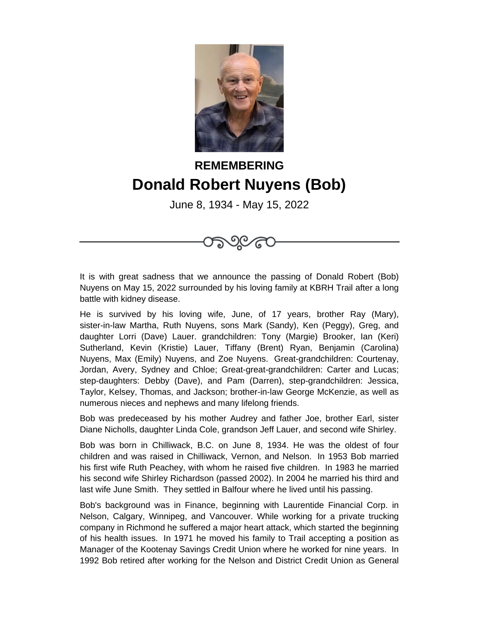

## **REMEMBERING Donald Robert Nuyens (Bob)**

June 8, 1934 - May 15, 2022

ාල ල

It is with great sadness that we announce the passing of Donald Robert (Bob) Nuyens on May 15, 2022 surrounded by his loving family at KBRH Trail after a long battle with kidney disease.

He is survived by his loving wife, June, of 17 years, brother Ray (Mary), sister-in-law Martha, Ruth Nuyens, sons Mark (Sandy), Ken (Peggy), Greg, and daughter Lorri (Dave) Lauer. grandchildren: Tony (Margie) Brooker, Ian (Keri) Sutherland, Kevin (Kristie) Lauer, Tiffany (Brent) Ryan, Benjamin (Carolina) Nuyens, Max (Emily) Nuyens, and Zoe Nuyens. Great-grandchildren: Courtenay, Jordan, Avery, Sydney and Chloe; Great-great-grandchildren: Carter and Lucas; step-daughters: Debby (Dave), and Pam (Darren), step-grandchildren: Jessica, Taylor, Kelsey, Thomas, and Jackson; brother-in-law George McKenzie, as well as numerous nieces and nephews and many lifelong friends.

Bob was predeceased by his mother Audrey and father Joe, brother Earl, sister Diane Nicholls, daughter Linda Cole, grandson Jeff Lauer, and second wife Shirley.

Bob was born in Chilliwack, B.C. on June 8, 1934. He was the oldest of four children and was raised in Chilliwack, Vernon, and Nelson. In 1953 Bob married his first wife Ruth Peachey, with whom he raised five children. In 1983 he married his second wife Shirley Richardson (passed 2002). In 2004 he married his third and last wife June Smith. They settled in Balfour where he lived until his passing.

Bob's background was in Finance, beginning with Laurentide Financial Corp. in Nelson, Calgary, Winnipeg, and Vancouver. While working for a private trucking company in Richmond he suffered a major heart attack, which started the beginning of his health issues. In 1971 he moved his family to Trail accepting a position as Manager of the Kootenay Savings Credit Union where he worked for nine years. In 1992 Bob retired after working for the Nelson and District Credit Union as General